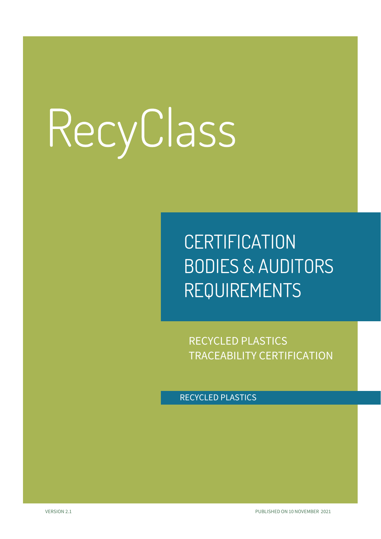### **CERTIFICATION** BODIES & AUDITORS REQUIREMENTS

RECYCLED PLASTICS TRACEABILITY CERTIFICATION

RECYCLED PLASTICS

VERSION 2.1 PUBLISHED ON 10 NOVEMBER 2021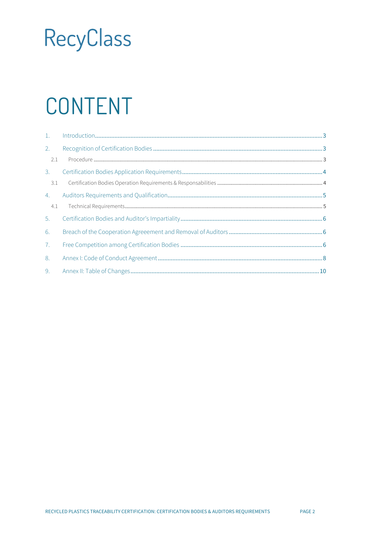# CONTENT

| 2.  |  |
|-----|--|
| 2.1 |  |
| 3.  |  |
| 3.1 |  |
| 4.  |  |
| 4.1 |  |
| 5.  |  |
| 6.  |  |
| 7.  |  |
| 8.  |  |
| 9.  |  |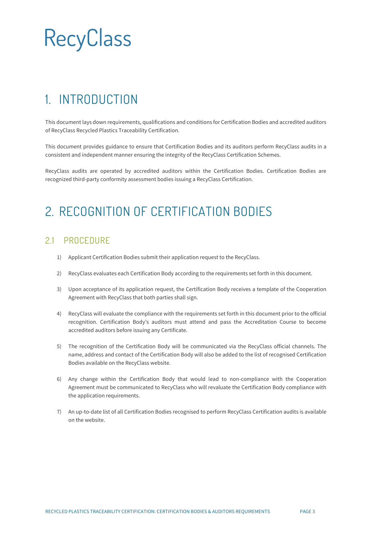### <span id="page-2-0"></span>1. INTRODUCTION

This document lays down requirements, qualifications and conditions for Certification Bodies and accredited auditors of RecyClass Recycled Plastics Traceability Certification.

This document provides guidance to ensure that Certification Bodies and its auditors perform RecyClass audits in a consistent and independent manner ensuring the integrity of the RecyClass Certification Schemes.

RecyClass audits are operated by accredited auditors within the Certification Bodies. Certification Bodies are recognized third-party conformity assessment bodies issuing a RecyClass Certification.

### <span id="page-2-1"></span>2. RECOGNITION OF CERTIFICATION BODIES

#### <span id="page-2-2"></span>2.1 PROCEDURE

- 1) Applicant Certification Bodies submit their application request to the RecyClass.
- 2) RecyClass evaluates each Certification Body according to the requirements set forth in this document.
- 3) Upon acceptance of its application request, the Certification Body receives a template of the Cooperation Agreement with RecyClass that both parties shall sign.
- 4) RecyClass will evaluate the compliance with the requirements set forth in this document prior to the official recognition. Certification Body's auditors must attend and pass the Accreditation Course to become accredited auditors before issuing any Certificate.
- 5) The recognition of the Certification Body will be communicated via the RecyClass official channels. The name, address and contact of the Certification Body will also be added to the list of recognised Certification Bodies available on the RecyClass website.
- 6) Any change within the Certification Body that would lead to non-compliance with the Cooperation Agreement must be communicated to RecyClass who will revaluate the Certification Body compliance with the application requirements.
- 7) An up-to-date list of all Certification Bodies recognised to perform RecyClass Certification audits is available on the website.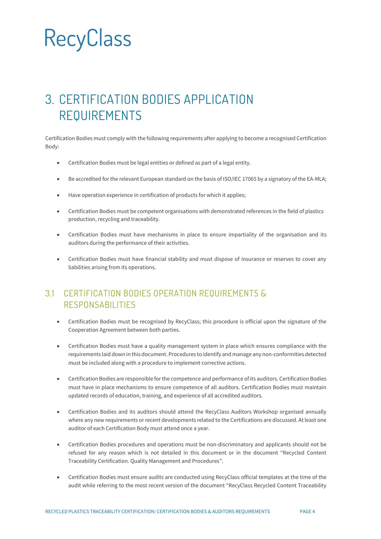### <span id="page-3-0"></span>3. CERTIFICATION BODIES APPLICATION REQUIREMENTS

Certification Bodies must comply with the following requirements after applying to become a recognised Certification Body:

- Certification Bodies must be legal entities or defined as part of a legal entity.
- Be accredited for the relevant European standard on the basis of ISO/IEC 17065 by a signatory of the EA-MLA;
- Have operation experience in certification of products for which it applies;
- Certification Bodies must be competent organisations with demonstrated references in the field of plastics production, recycling and traceability.
- Certification Bodies must have mechanisms in place to ensure impartiality of the organisation and its auditors during the performance of their activities.
- Certification Bodies must have financial stability and must dispose of insurance or reserves to cover any liabilities arising from its operations.

#### <span id="page-3-1"></span>3.1 CERTIFICATION BODIES OPERATION REQUIREMENTS & RESPONSABILITIES

- Certification Bodies must be recognised by RecyClass; this procedure is official upon the signature of the Cooperation Agreement between both parties.
- Certification Bodies must have a quality management system in place which ensures compliance with the requirements laid down in this document. Procedures to identify and manage any non-conformities detected must be included along with a procedure to implement corrective actions.
- Certification Bodies are responsible for the competence and performance of its auditors. Certification Bodies must have in place mechanisms to ensure competence of all auditors. Certification Bodies must maintain updated records of education, training, and experience of all accredited auditors.
- Certification Bodies and its auditors should attend the RecyClass Auditors Workshop organised annually where any new requirements or recent developments related to the Certifications are discussed. At least one auditor of each Certification Body must attend once a year.
- Certification Bodies procedures and operations must be non-discriminatory and applicants should not be refused for any reason which is not detailed in this document or in the document "Recycled Content Traceability Certification. Quality Management and Procedures".
- Certification Bodies must ensure audits are conducted using RecyClass official templates at the time of the audit while referring to the most recent version of the document "RecyClass Recycled Content Traceability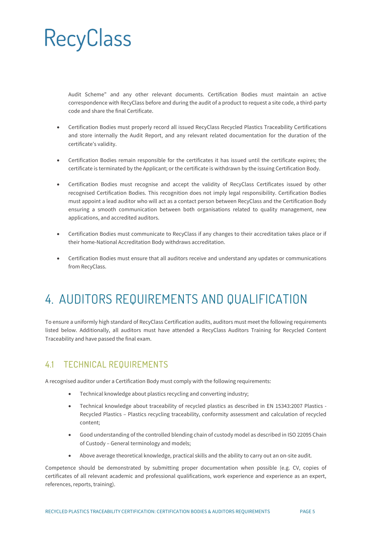Audit Scheme" and any other relevant documents. Certification Bodies must maintain an active correspondence with RecyClass before and during the audit of a product to request a site code, a third-party code and share the final Certificate.

- Certification Bodies must properly record all issued RecyClass Recycled Plastics Traceability Certifications and store internally the Audit Report, and any relevant related documentation for the duration of the certificate's validity.
- Certification Bodies remain responsible for the certificates it has issued until the certificate expires; the certificate is terminated by the Applicant; or the certificate is withdrawn by the issuing Certification Body.
- Certification Bodies must recognise and accept the validity of RecyClass Certificates issued by other recognised Certification Bodies. This recognition does not imply legal responsibility. Certification Bodies must appoint a lead auditor who will act as a contact person between RecyClass and the Certification Body ensuring a smooth communication between both organisations related to quality management, new applications, and accredited auditors.
- Certification Bodies must communicate to RecyClass if any changes to their accreditation takes place or if their home-National Accreditation Body withdraws accreditation.
- <span id="page-4-0"></span>• Certification Bodies must ensure that all auditors receive and understand any updates or communications from RecyClass.

### 4. AUDITORS REQUIREMENTS AND QUALIFICATION

To ensure a uniformly high standard of RecyClass Certification audits, auditors must meet the following requirements listed below. Additionally, all auditors must have attended a RecyClass Auditors Training for Recycled Content Traceability and have passed the final exam.

#### <span id="page-4-1"></span>4.1 TECHNICAL REQUIREMENTS

A recognised auditor under a Certification Body must comply with the following requirements:

- Technical knowledge about plastics recycling and converting industry;
- Technical knowledge about traceability of recycled plastics as described in EN 15343:2007 Plastics Recycled Plastics – Plastics recycling traceability, conformity assessment and calculation of recycled content;
- Good understanding of the controlled blending chain of custody model as described in ISO 22095 Chain of Custody – General terminology and models;
- Above average theoretical knowledge, practical skills and the ability to carry out an on-site audit.

Competence should be demonstrated by submitting proper documentation when possible (e.g. CV, copies of certificates of all relevant academic and professional qualifications, work experience and experience as an expert, references, reports, training).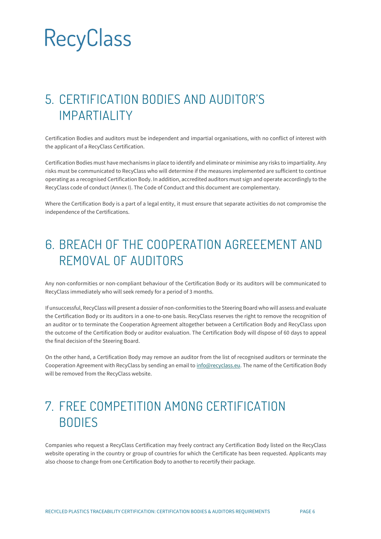### <span id="page-5-0"></span>5. CERTIFICATION BODIES AND AUDITOR'S IMPARTIALITY

Certification Bodies and auditors must be independent and impartial organisations, with no conflict of interest with the applicant of a RecyClass Certification.

Certification Bodies must have mechanisms in place to identify and eliminate or minimise any risks to impartiality. Any risks must be communicated to RecyClass who will determine if the measures implemented are sufficient to continue operating as a recognised Certification Body. In addition, accredited auditors must sign and operate accordingly to the RecyClass code of conduct (Annex I). The Code of Conduct and this document are complementary.

Where the Certification Body is a part of a legal entity, it must ensure that separate activities do not compromise the independence of the Certifications.

### <span id="page-5-1"></span>6. BREACH OF THE COOPERATION AGREEEMENT AND REMOVAL OF AUDITORS

Any non-conformities or non-compliant behaviour of the Certification Body or its auditors will be communicated to RecyClass immediately who will seek remedy for a period of 3 months.

If unsuccessful, RecyClass will present a dossier of non-conformities to the Steering Board who will assess and evaluate the Certification Body or its auditors in a one-to-one basis. RecyClass reserves the right to remove the recognition of an auditor or to terminate the Cooperation Agreement altogether between a Certification Body and RecyClass upon the outcome of the Certification Body or auditor evaluation. The Certification Body will dispose of 60 days to appeal the final decision of the Steering Board.

On the other hand, a Certification Body may remove an auditor from the list of recognised auditors or terminate the Cooperation Agreement with RecyClass by sending an email t[o info@recyclass.eu.](mailto:info@recyclass.eu) The name of the Certification Body will be removed from the RecyClass website.

#### <span id="page-5-2"></span>7. FREE COMPETITION AMONG CERTIFICATION BODIES

Companies who request a RecyClass Certification may freely contract any Certification Body listed on the RecyClass website operating in the country or group of countries for which the Certificate has been requested. Applicants may also choose to change from one Certification Body to another to recertify their package.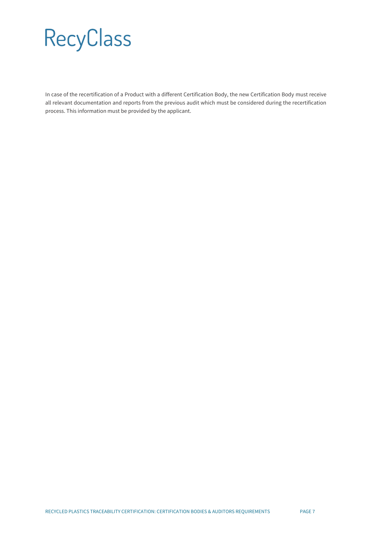In case of the recertification of a Product with a different Certification Body, the new Certification Body must receive all relevant documentation and reports from the previous audit which must be considered during the recertification process. This information must be provided by the applicant.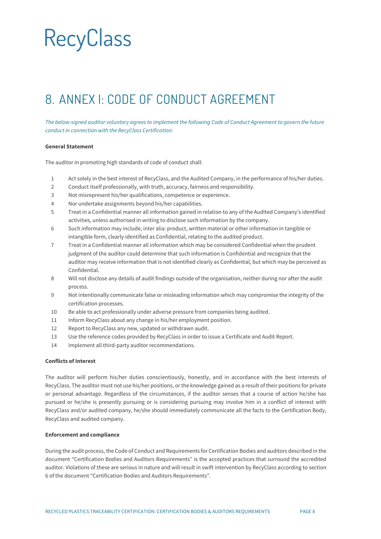### <span id="page-7-0"></span>8. ANNEX I: CODE OF CONDUCT AGREEMENT

*The below-signed auditor voluntary agrees to implement the following Code of Conduct Agreement to govern the future conduct in connection with the RecyClass Certification:*

#### **General Statement**

The auditor in promoting high standards of code of conduct shall:

- 1 Act solely in the best interest of RecyClass, and the Audited Company, in the performance of his/her duties.
- 2 Conduct itself professionally, with truth, accuracy, fairness and responsibility.
- 3 Not misrepresent his/her qualifications, competence or experience.
- 4 Nor undertake assignments beyond his/her capabilities.
- 5 Treat in a Confidential manner all information gained in relation to any of the Audited Company's identified activities, unless authorised in writing to disclose such information by the company.
- 6 Such information may include, inter alia: product, written material or other information in tangible or intangible form, clearly identified as Confidential, relating to the audited product.
- 7 Treat in a Confidential manner all information which may be considered Confidential when the prudent judgment of the auditor could determine that such information is Confidential and recognize that the auditor may receive information that is not identified clearly as Confidential, but which may be perceived as Confidential.
- 8 Will not disclose any details of audit findings outside of the organisation, neither during nor after the audit process.
- 9 Not intentionally communicate false or misleading information which may compromise the integrity of the certification processes.
- 10 Be able to act professionally under adverse pressure from companies being audited.
- 11 Inform RecyClass about any change in his/her employment position.
- 12 Report to RecyClass any new, updated or withdrawn audit.
- 13 Use the reference codes provided by RecyClass in order to issue a Certificate and Audit Report.
- 14 Implement all third-party auditor recommendations.

#### **Conflicts of Interest**

The auditor will perform his/her duties conscientiously, honestly, and in accordance with the best interests of RecyClass. The auditor must not use his/her positions, or the knowledge gained as a result of their positions for private or personal advantage. Regardless of the circumstances, if the auditor senses that a course of action he/she has pursued or he/she is presently pursuing or is considering pursuing may involve him in a conflict of interest with RecyClass and/or audited company, he/she should immediately communicate all the facts to the Certification Body, RecyClass and audited company.

#### **Enforcement and compliance**

During the audit process, the Code of Conduct and Requirements for Certification Bodies and auditors described in the document "Certification Bodies and Auditors Requirements" is the accepted practices that surround the accredited auditor. Violations of these are serious in nature and will result in swift intervention by RecyClass according to section 6 of the document "Certification Bodies and Auditors Requirements".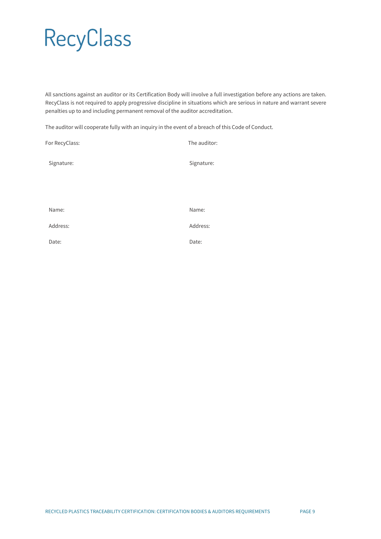All sanctions against an auditor or its Certification Body will involve a full investigation before any actions are taken. RecyClass is not required to apply progressive discipline in situations which are serious in nature and warrant severe penalties up to and including permanent removal of the auditor accreditation.

The auditor will cooperate fully with an inquiry in the event of a breach of this Code of Conduct.

| For RecyClass: | The auditor: |
|----------------|--------------|
| Signature:     | Signature:   |
|                |              |
| Name:          | Name:        |
| Address:       | Address:     |
| Date:          | Date:        |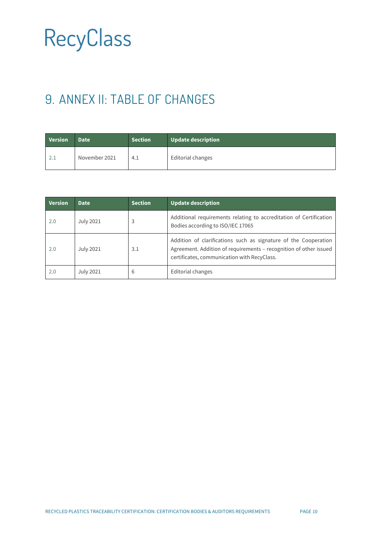### <span id="page-9-0"></span>9. ANNEX II: TABLE OF CHANGES

| <b>Version</b> | <b>Date</b>   | <b>Section</b> | Update description |
|----------------|---------------|----------------|--------------------|
| 2.1            | November 2021 | 4.1            | Editorial changes  |

| <b>Version</b> | <b>Date</b>      | <b>Section</b> | <b>Update description</b>                                                                                                                                                           |
|----------------|------------------|----------------|-------------------------------------------------------------------------------------------------------------------------------------------------------------------------------------|
| 2.0            | <b>July 2021</b> | 3              | Additional requirements relating to accreditation of Certification<br>Bodies according to ISO/IEC 17065                                                                             |
| 2.0            | <b>July 2021</b> | 3.1            | Addition of clarifications such as signature of the Cooperation<br>Agreement. Addition of requirements - recognition of other issued<br>certificates, communication with RecyClass. |
| 2.0            | <b>July 2021</b> | 6              | Editorial changes                                                                                                                                                                   |